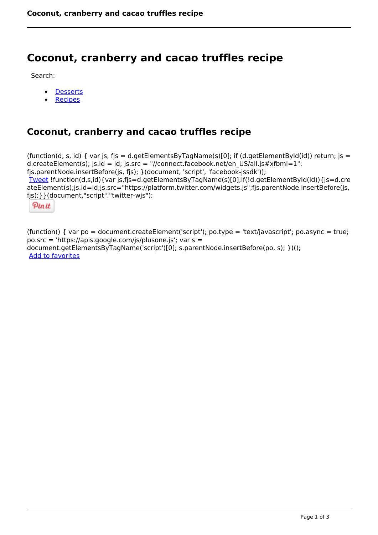## **Coconut, cranberry and cacao truffles recipe**

Search:

- **[Desserts](https://www.naturalhealthmag.com.au/nourish/desserts)**  $\bullet$
- [Recipes](https://www.naturalhealthmag.com.au/nourish/recipes)

## **Coconut, cranberry and cacao truffles recipe**

(function(d, s, id) { var js, fjs = d.getElementsByTagName(s)[0]; if (d.getElementById(id)) return; js = d.createElement(s); js.id = id; js.src = "//connect.facebook.net/en\_US/all.js#xfbml=1"; fjs.parentNode.insertBefore(js, fjs); }(document, 'script', 'facebook-jssdk')); [Tweet](https://twitter.com/share) !function(d,s,id){var js,fjs=d.getElementsByTagName(s)[0];if(!d.getElementById(id)){js=d.cre ateElement(s);js.id=id;js.src="https://platform.twitter.com/widgets.js";fjs.parentNode.insertBefore(js, fjs);}}(document,"script","twitter-wjs");

Pinit

(function() { var po = document.createElement('script'); po.type = 'text/javascript'; po.async = true; po.src = 'https://apis.google.com/js/plusone.js'; var s = document.getElementsByTagName('script')[0]; s.parentNode.insertBefore(po, s); })(); Add to favorites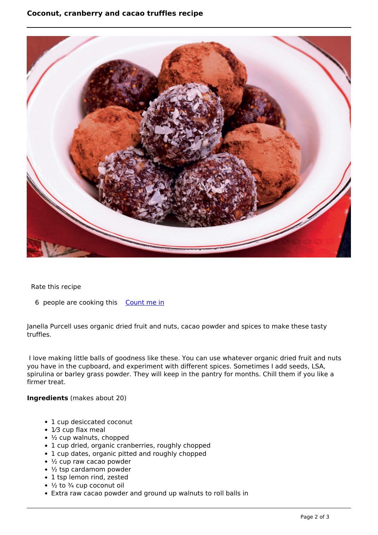## **Coconut, cranberry and cacao truffles recipe**



Rate this recipe

6 people are cooking this [Count me in](https://www.naturalhealthmag.com.au/flag/flag/favorites/542?destination=printpdf%2F542&token=ac67f03acd6df22baa46ef492e18f8ff)

Janella Purcell uses organic dried fruit and nuts, cacao powder and spices to make these tasty truffles.

 I love making little balls of goodness like these. You can use whatever organic dried fruit and nuts you have in the cupboard, and experiment with different spices. Sometimes I add seeds, LSA, spirulina or barley grass powder. They will keep in the pantry for months. Chill them if you like a firmer treat.

**Ingredients** (makes about 20)

- 1 cup desiccated coconut
- 1/3 cup flax meal
- ½ cup walnuts, chopped
- 1 cup dried, organic cranberries, roughly chopped
- 1 cup dates, organic pitted and roughly chopped
- $\cdot$   $\frac{1}{2}$  cup raw cacao powder
- ½ tsp cardamom powder
- 1 tsp lemon rind, zested
- $\cdot$   $\frac{1}{2}$  to  $\frac{3}{4}$  cup coconut oil
- Extra raw cacao powder and ground up walnuts to roll balls in